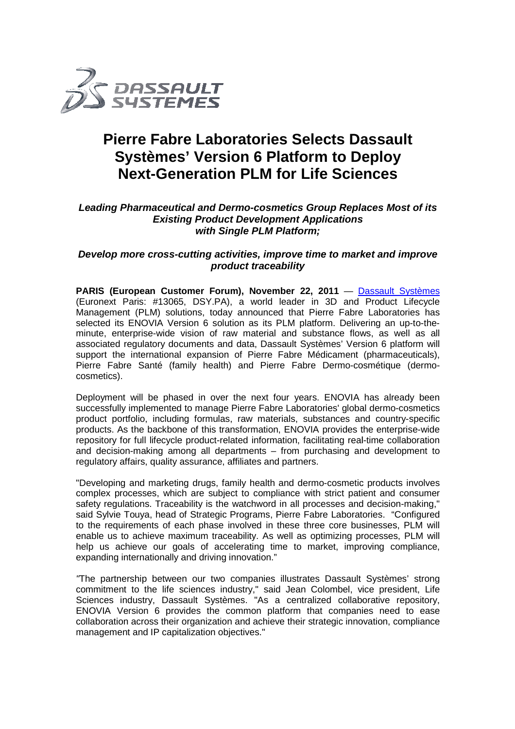

## **Pierre Fabre Laboratories Selects Dassault Systèmes' Version 6 Platform to Deploy Next-Generation PLM for Life Sciences**

### Leading Pharmaceutical and Dermo-cosmetics Group Replaces Most of its **Existing Product Development Applications with Single PLM Platform;**

# **Develop more cross-cutting activities, improve time to market and improve** *p***<br>product traceability**

PARIS (European Customer Forum), November 22, 2011 — <u>Dassault Systèmes</u> (Euronext Paris: #13065, DSY.PA), a world leader in 3D and Product Lifecycle **PARIS (European Customer Forum), November 22, 2011** — **Dassault Systèmes** (Euronext Paris: #13065, DSY.PA), a world leader in 3D and Product Lifecycle Management (PLM) solutions, today announced that Pierre Fabre Laborato selected its ENOVIA Version 6 solution as its PLM platform. Delivering an up-to-theminute, enterprise-wide vision of raw material and substance flows, as well as all minute, enterprise-wide vision of raw material and substance flows, as well as all<br>associated regulatory documents and data, Dassault Systèmes' Version 6 platform will support the international expansion of Pierre Fabre Médicament (pharmaceuticals), Pierre Fabre Santé (family health) and Pierre Fabre Dermo-cosmétique (dermo cosmétique (dermocosmetics).

Deployment will be phased in over the next four years. ENOVIA has already been<br>successfully implemented to manage Pierre Fabre Laboratories' global dermo-cosmetics successfully implemented to manage Pierre Fabre Laboratories' global dermo-cosmetics product portfolio, including formulas, raw materials, substances and country-specific products. As the backbone of this transformation, ENOVIA provides the enterprise the enterprise-wide products. As the backbone of this transformation, ENOVIA provides the enterprise-wide<br>repository for full lifecycle product-related information, facilitating real-time collaboration and decision-making among all departments - from purchasing and development to regulatory affairs, quality assurance, affiliates and partners.

"Developing and marketing drugs, family health and dermo-cosmetic products involves complex processes, which are subject to compliance with strict patient and consumer safety regulations. Traceability is the watchword in all processes and decision-making," said Sylvie Touya, head of Strategic Programs, Pierre Fabre Laboratories. "Configured to the requirements of each phase involved in these three core businesses, PLM will enable us to achieve maximum traceability. As well as optimizing processes, PLM will help us achieve our goals of accelerating time to market, improving compliance, expanding internationally and driving innovation."

"The partnership between our two companies illustrates Dassault Systèmes' strong "The partnership between our two companies illustrates Dassault Systèmes' strong<br>commitment to the life sciences industry," said Jean Colombel, vice president, Life Sciences industry, Dassault Systèmes. "As a centralized collaborative repository, ENOVIA Version 6 provides the common platform that companies need to ease collaboration across their organization and achieve their strategic innovation, compliance management and IP capitalization objectives."